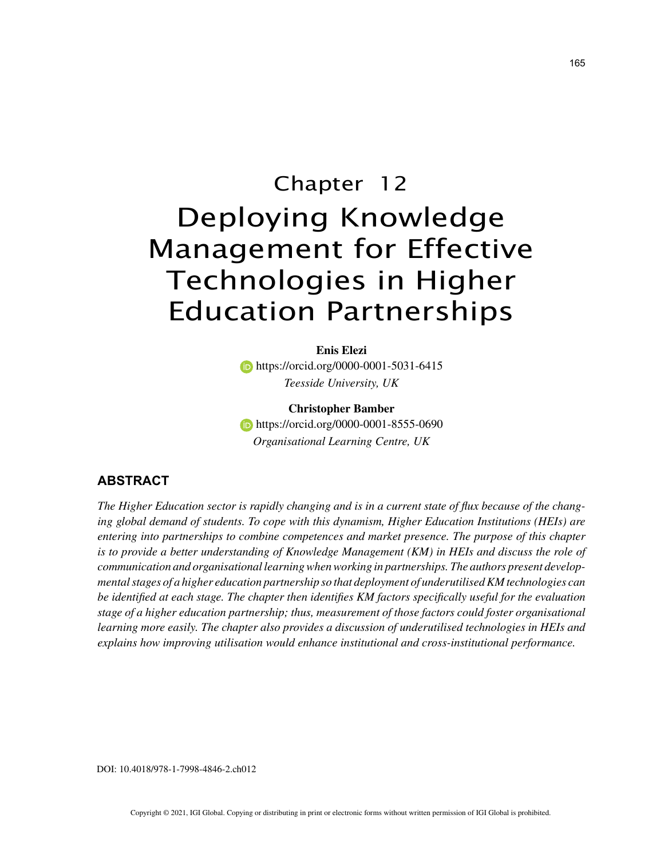# Chapter 12 Deploying Knowledge Management for Effective Technologies in Higher Education Partnerships

**Enis Elezi https://orcid.org/0000-0001-5031-6415** *Teesside University, UK*

**Christopher Bamber https://orcid.org/0000-0001-8555-0690** *Organisational Learning Centre, UK*

# **ABSTRACT**

*The Higher Education sector is rapidly changing and is in a current state of flux because of the changing global demand of students. To cope with this dynamism, Higher Education Institutions (HEIs) are entering into partnerships to combine competences and market presence. The purpose of this chapter is to provide a better understanding of Knowledge Management (KM) in HEIs and discuss the role of communication and organisational learning when working in partnerships. The authors present developmental stages of a higher education partnership so that deployment of underutilised KM technologies can be identified at each stage. The chapter then identifies KM factors specifically useful for the evaluation stage of a higher education partnership; thus, measurement of those factors could foster organisational learning more easily. The chapter also provides a discussion of underutilised technologies in HEIs and explains how improving utilisation would enhance institutional and cross-institutional performance.*

DOI: 10.4018/978-1-7998-4846-2.ch012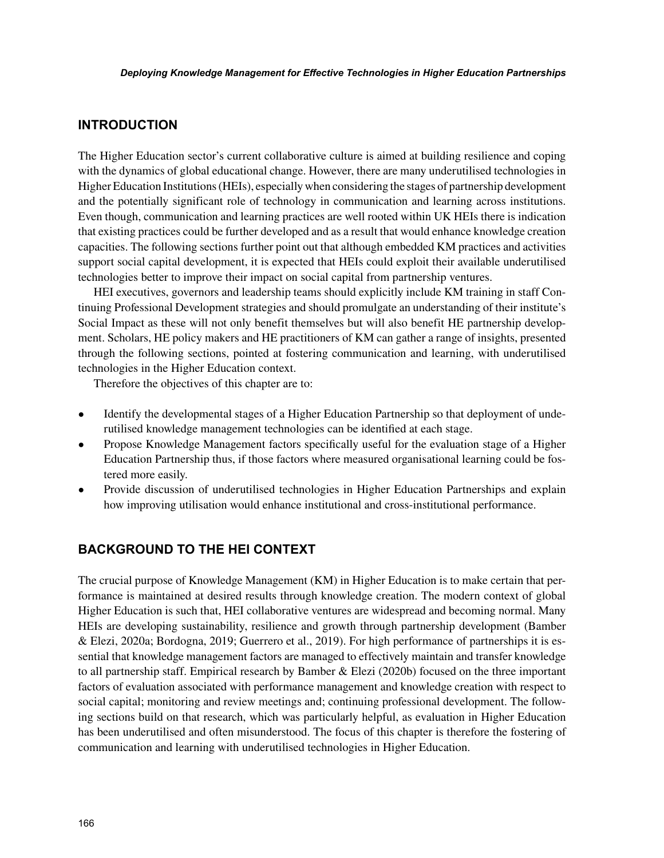#### **INTRODUCTION**

The Higher Education sector's current collaborative culture is aimed at building resilience and coping with the dynamics of global educational change. However, there are many underutilised technologies in Higher Education Institutions (HEIs), especially when considering the stages of partnership development and the potentially significant role of technology in communication and learning across institutions. Even though, communication and learning practices are well rooted within UK HEIs there is indication that existing practices could be further developed and as a result that would enhance knowledge creation capacities. The following sections further point out that although embedded KM practices and activities support social capital development, it is expected that HEIs could exploit their available underutilised technologies better to improve their impact on social capital from partnership ventures.

HEI executives, governors and leadership teams should explicitly include KM training in staff Continuing Professional Development strategies and should promulgate an understanding of their institute's Social Impact as these will not only benefit themselves but will also benefit HE partnership development. Scholars, HE policy makers and HE practitioners of KM can gather a range of insights, presented through the following sections, pointed at fostering communication and learning, with underutilised technologies in the Higher Education context.

Therefore the objectives of this chapter are to:

- Identify the developmental stages of a Higher Education Partnership so that deployment of underutilised knowledge management technologies can be identified at each stage.
- Propose Knowledge Management factors specifically useful for the evaluation stage of a Higher Education Partnership thus, if those factors where measured organisational learning could be fostered more easily.
- Provide discussion of underutilised technologies in Higher Education Partnerships and explain how improving utilisation would enhance institutional and cross-institutional performance.

## **BACKGROUND TO THE HEI CONTEXT**

The crucial purpose of Knowledge Management (KM) in Higher Education is to make certain that performance is maintained at desired results through knowledge creation. The modern context of global Higher Education is such that, HEI collaborative ventures are widespread and becoming normal. Many HEIs are developing sustainability, resilience and growth through partnership development (Bamber & Elezi, 2020a; Bordogna, 2019; Guerrero et al., 2019). For high performance of partnerships it is essential that knowledge management factors are managed to effectively maintain and transfer knowledge to all partnership staff. Empirical research by Bamber & Elezi (2020b) focused on the three important factors of evaluation associated with performance management and knowledge creation with respect to social capital; monitoring and review meetings and; continuing professional development. The following sections build on that research, which was particularly helpful, as evaluation in Higher Education has been underutilised and often misunderstood. The focus of this chapter is therefore the fostering of communication and learning with underutilised technologies in Higher Education.